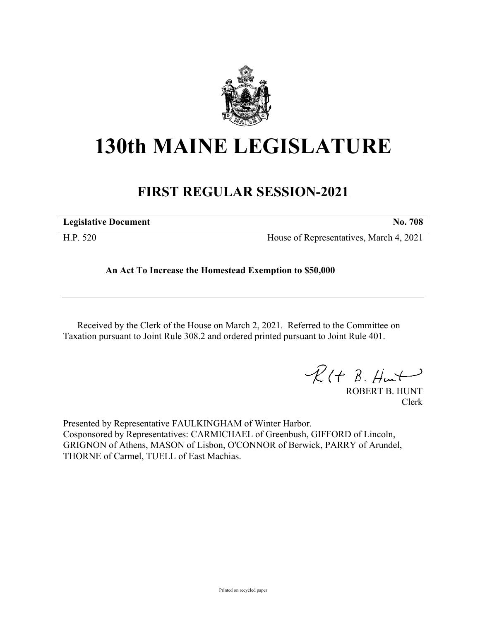

## **130th MAINE LEGISLATURE**

## **FIRST REGULAR SESSION-2021**

| <b>Legislative Document</b> |
|-----------------------------|
|-----------------------------|

H.P. 520 House of Representatives, March 4, 2021

**An Act To Increase the Homestead Exemption to \$50,000**

Received by the Clerk of the House on March 2, 2021. Referred to the Committee on Taxation pursuant to Joint Rule 308.2 and ordered printed pursuant to Joint Rule 401.

 $R(H B. H<sub>ur</sub>)$ 

ROBERT B. HUNT Clerk

Presented by Representative FAULKINGHAM of Winter Harbor. Cosponsored by Representatives: CARMICHAEL of Greenbush, GIFFORD of Lincoln, GRIGNON of Athens, MASON of Lisbon, O'CONNOR of Berwick, PARRY of Arundel, THORNE of Carmel, TUELL of East Machias.